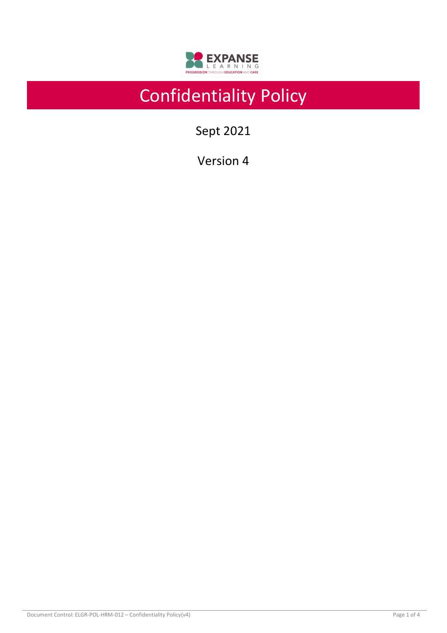

# Confidentiality Policy

Sept 2021

Version 4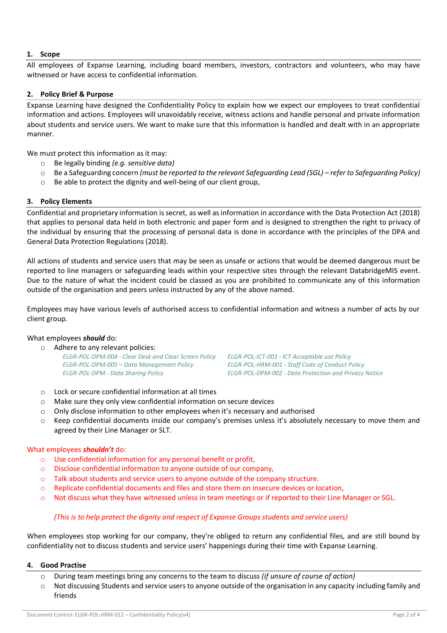# **1. Scope**

All employees of Expanse Learning, including board members, investors, contractors and volunteers, who may have witnessed or have access to confidential information.

# **2. Policy Brief & Purpose**

Expanse Learning have designed the Confidentiality Policy to explain how we expect our employees to treat confidential information and actions. Employees will unavoidably receive, witness actions and handle personal and private information about students and service users. We want to make sure that this information is handled and dealt with in an appropriate manner.

We must protect this information as it may:

- o Be legally binding *(e.g. sensitive data)*
- o Be a Safeguarding concern *(must be reported to the relevant Safeguarding Lead (SGL) – refer to Safeguarding Policy)*
- o Be able to protect the dignity and well-being of our client group,

# **3. Policy Elements**

Confidential and proprietary information is secret, as well as information in accordance with the Data Protection Act (2018) that applies to personal data held in both electronic and paper form and is designed to strengthen the right to privacy of the individual by ensuring that the processing of personal data is done in accordance with the principles of the DPA and General Data Protection Regulations (2018).

All actions of students and service users that may be seen as unsafe or actions that would be deemed dangerous must be reported to line managers or safeguarding leads within your respective sites through the relevant DatabridgeMIS event. Due to the nature of what the incident could be classed as you are prohibited to communicate any of this information outside of the organisation and peers unless instructed by any of the above named.

Employees may have various levels of authorised access to confidential information and witness a number of acts by our client group.

# What employees *should* do:

o Adhere to any relevant policies:

*ELGR-POL-DPM-004 - Clear Desk and Clear Screen Policy ELGR-POL-ICT-001 - ICT Acceptable use Policy ELGR-POL-DPM-005 – Data Management Policy ELGR-POL-HRM-001 - Staff Code of Conduct Policy*

*ELGR-POL-DPM - Data Sharing Policy ELGR-POL-DPM-002 - Data Protection and Privacy Notice*

- o Lock or secure confidential information at all times
- o Make sure they only view confidential information on secure devices
- $\circ$  Only disclose information to other employees when it's necessary and authorised
- o Keep confidential documents inside our company's premises unless it's absolutely necessary to move them and agreed by their Line Manager or SLT.

# What employees *shouldn't* do:

- o Use confidential information for any personal benefit or profit,
- o Disclose confidential information to anyone outside of our company,
- o Talk about students and service users to anyone outside of the company structure.
- o Replicate confidential documents and files and store them on insecure devices or location,
- o Not discuss what they have witnessed unless in team meetings or if reported to their Line Manager or SGL.

# *(This is to help protect the dignity and respect of Expanse Groups students and service users)*

When employees stop working for our company, they're obliged to return any confidential files, and are still bound by confidentiality not to discuss students and service users' happenings during their time with Expanse Learning.

#### **4. Good Practise**

- o During team meetings bring any concerns to the team to discuss *(if unsure of course of action)*
- $\circ$  Not discussing Students and service users to anyone outside of the organisation in any capacity including family and friends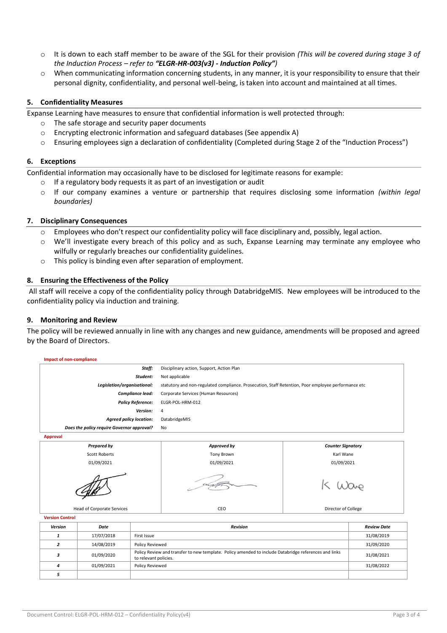- o It is down to each staff member to be aware of the SGL for their provision *(This will be covered during stage 3 of the Induction Process – refer to "ELGR-HR-003(v3) - Induction Policy")*
- $\circ$  When communicating information concerning students, in any manner, it is your responsibility to ensure that their personal dignity, confidentiality, and personal well-being, is taken into account and maintained at all times.

# **5. Confidentiality Measures**

Expanse Learning have measures to ensure that confidential information is well protected through:

- The safe storage and security paper documents
- $\circ$  Encrypting electronic information and safeguard databases (See appendix A)
- o Ensuring employees sign a declaration of confidentiality (Completed during Stage 2 of the "Induction Process")

# **6. Exceptions**

Confidential information may occasionally have to be disclosed for legitimate reasons for example:

- If a regulatory body requests it as part of an investigation or audit
- o If our company examines a venture or partnership that requires disclosing some information *(within legal boundaries)*

# **7. Disciplinary Consequences**

- $\circ$  Employees who don't respect our confidentiality policy will face disciplinary and, possibly, legal action.
- o We'll investigate every breach of this policy and as such, Expanse Learning may terminate any employee who wilfully or regularly breaches our confidentiality guidelines.
- o This policy is binding even after separation of employment.

# **8. Ensuring the Effectiveness of the Policy**

All staff will receive a copy of the confidentiality policy through DatabridgeMIS. New employees will be introduced to the confidentiality policy via induction and training.

# **9. Monitoring and Review**

*5*

The policy will be reviewed annually in line with any changes and new guidance, amendments will be proposed and agreed by the Board of Directors.



*4* 01/09/2021 Policy Reviewed 31/08/2022